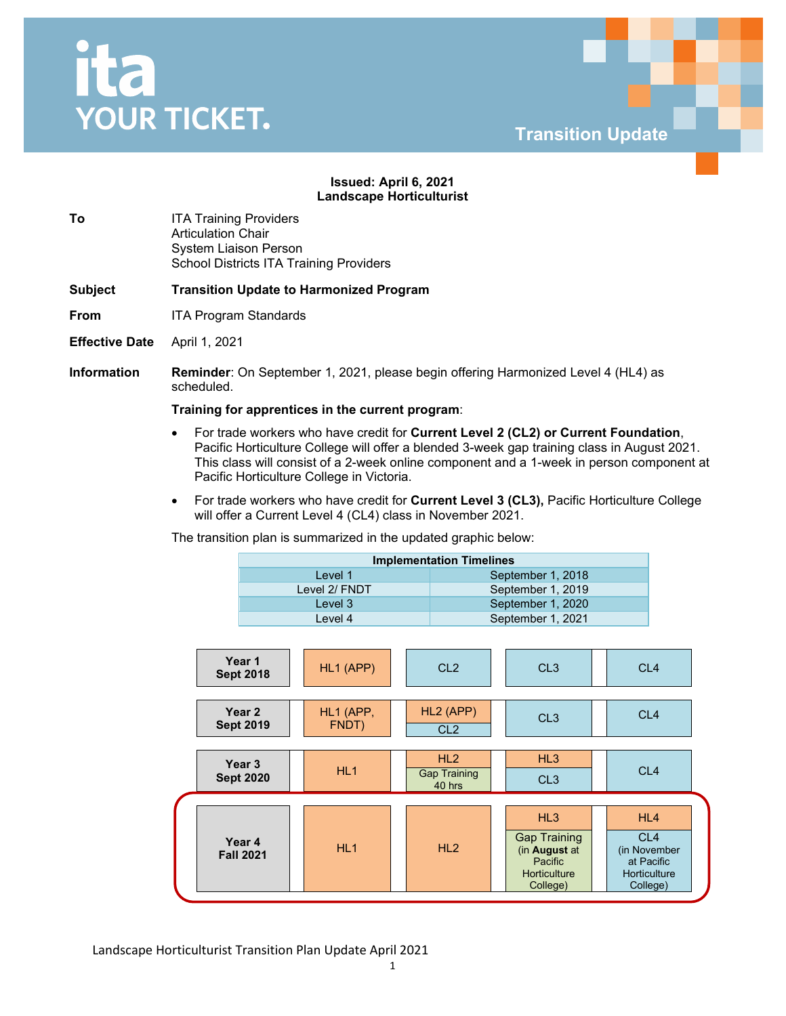## Ita **YOUR TICKET.**



## **Issued: April 6, 2021 Landscape Horticulturist**

**To ITA Training Providers** Articulation Chair System Liaison Person School Districts ITA Training Providers

**Subject Transition Update to Harmonized Program** 

- **From** ITA Program Standards
- **Effective Date** April 1, 2021

**Information Reminder**: On September 1, 2021, please begin offering Harmonized Level 4 (HL4) as scheduled.

## **Training for apprentices in the current program**:

- For trade workers who have credit for **Current Level 2 (CL2) or Current Foundation**, Pacific Horticulture College will offer a blended 3-week gap training class in August 2021. This class will consist of a 2-week online component and a 1-week in person component at Pacific Horticulture College in Victoria.
- For trade workers who have credit for **Current Level 3 (CL3),** Pacific Horticulture College will offer a Current Level 4 (CL4) class in November 2021.

The transition plan is summarized in the updated graphic below:

| <b>Implementation Timelines</b> |                   |  |  |  |
|---------------------------------|-------------------|--|--|--|
| Level 1                         | September 1, 2018 |  |  |  |
| Level 2/ FNDT                   | September 1, 2019 |  |  |  |
| Level 3                         | September 1, 2020 |  |  |  |
| Level 4                         | September 1, 2021 |  |  |  |

| Year 1<br><b>Sept 2018</b>            | HL1 (APP)          | CL <sub>2</sub>                      | CL <sub>3</sub>                                                                           | CL <sub>4</sub>                                                                  |
|---------------------------------------|--------------------|--------------------------------------|-------------------------------------------------------------------------------------------|----------------------------------------------------------------------------------|
| Year 2<br><b>Sept 2019</b>            | HL1 (APP,<br>FNDT) | HL2 (APP)<br>CL <sub>2</sub>         | CL <sub>3</sub>                                                                           | CL <sub>4</sub>                                                                  |
| Year <sub>3</sub><br><b>Sept 2020</b> | HL <sub>1</sub>    | HL2<br><b>Gap Training</b><br>40 hrs | HL3<br>CL <sub>3</sub>                                                                    | CL <sub>4</sub>                                                                  |
| Year 4<br><b>Fall 2021</b>            | HL1                | HL2                                  | HL3<br><b>Gap Training</b><br>(in August at<br>Pacific<br><b>Horticulture</b><br>College) | HL4<br>CL <sub>4</sub><br>(in November<br>at Pacific<br>Horticulture<br>College) |

Landscape Horticulturist Transition Plan Update April 2021